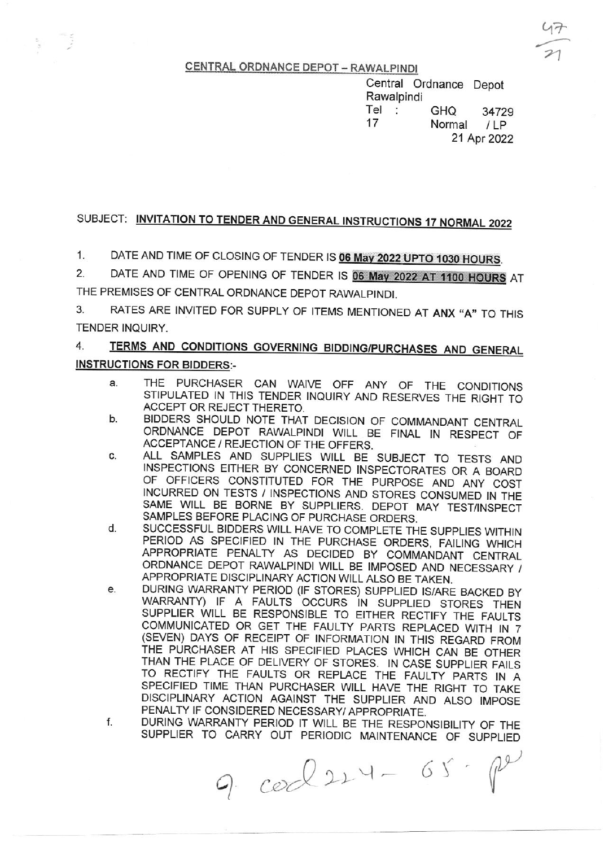CENTRAL ORDNANCE DEPOT - RAWALPINDI

Central Ordnance Depol Rawalpindi Tet : GHe <sup>34729</sup> <sup>17</sup>Normal i Lp 21 Apt 2022

## SUBJECT: INVITATION TO TENDER AND GENERAL INSTRUCTIONS 17 NORMAL 2022

1. DATE AND TIME OF CLOSING OF TENDER IS 06 May 2022 UPTO 1030 HOURS.

2. DATE AND TIME OF OPENING OF TENDER IS 06 May 2022 AT 1100 HOURS AT THE PREMISES OF CENTRAL ORDNANCE DEPOT RAWALPINDI,

3, RATES ARE INVITED FOR SUPPLY OF ITEMS MENTIONED AT ANX "A" TO THIS TENDER INQUIRY.

### 4. TERMS AND CONDITIONS GOVERNING BIDDING/PURCHASES AND GENERAL INSTRUCTIONS FOR BIDDERS:-

- a THE PURCHASER CAN WAIVE OFF ANY OF THE CONDITIONS STIPULATED IN THIS TENDER INQUIRY AND RESERVES THE RIGHT TO ACCEPT OR REJECT THERETO.
- b. BIDDERS SHOULD NOTE THAT DECISION OF COMMANDANT CENTRAL ORDNANCE DEPOT RAWALPINDI WILL BE FINAL IN RESPECI OF ACCEPTANCE / REJECTION OF THE OFFERS,
- c ALL SAMPLES AND SUPPLIES WILL BE SUBJECT TO TESTS AND INSPECTIONS EITHER BY CONCERNED INSPECTORATES OR A BOARD OF OFFICERS CONSTITUTED FOR THE PURPOSE AND ANY COST INCURRED ON TESTS / INSPECTIONS AND STORES CONSUMED IN THE SAME WILL BE BORNE BY SUPPLIERS. DEPOT MAY TEST/INSPECT SAMPLES BEFORE PLACING OF PURCHASE ORDERS,
- SUCCESSFUL BIDDERS WlLL HAVE TO COMPLETE THE SUPPLIES WITHIN PERIOD AS SPECIFIED IN THE PURCHASE ORDERS, FAILING WHICH APPROPRIATE PENALTY AS DECIDED BY COMMANDANT CENTRAL ORDNANCE DEPOT RAWALPINDI WILL BE IMPOSED AND NECESSARY / APPROPRIATE DISCIPLINARY ACTION WILL ALSO BE TAKEN.<br>DURING WARRANTY PERIOD (IF STORES) SUPPLIED IS/ARE BACKED BY d
- e. WARRANTY) IF A FAULTS OCCURS IN SUPPLIED STORES THEN SUPPLIER WILL BE RESPONSIBLE TO EITHER RECTIFY THE FAULTS COMMUNICATED OR GET THE FAULTY PARTS REPLACED WITH IN 7 (SEVEN) DAYS OF RECEIPT OF INFORMATION IN THIS REGARD FROM THE PURCHASER AT HIS SPECIFIED PLACES WHICH CAN BE OTHER<br>THAN THE PLACE OF DELIVERY OF STORES. IN CASE SUPPLIER FAILS TO RECTIFY THE FAULTS OR REPLACE THE FAULTY PARTS IN A SPECIFIED TIME THAN PURCHASER WLL HAVE THE RIGHT TO TAKE DISCIPLINARY ACTION AGAINST THE SUPPLIER AND ALSO IMPOSE PENALTY IF CONSIDERED NECESSARY/ APPROPRIATE,
- DURING WARRANTY PERIOD IT WILL BE THE RESPONSIBILITY OF THE SUPPLIER TO CARRY OUT PERIODIC MAINTENANCE OF SUPPLIED f

 $9. \text{co} 224 - 65. \text{pc}$ 

 $47$  $\overline{P}$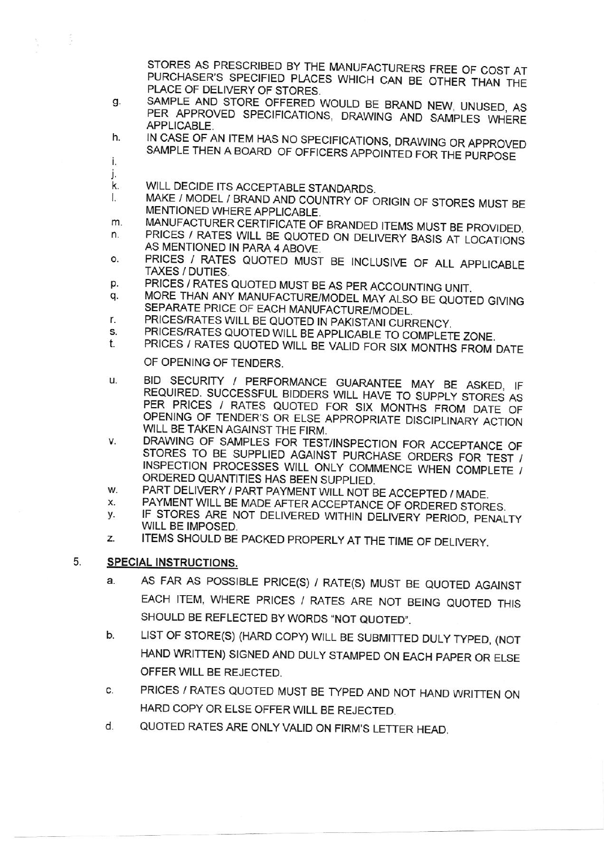STORES AS PRESCRIBED BY THE MANUFACTURERS FREE OF COST AT PURCHASER'S SPECIFIED PLACES WHICH CAN BE OTHER THAN THE PLACE OF DELIVERY OF STORES.

- SAMPLE AND STORE OFFERED WOULD BE BRAND NEW, UNUSED, AS g. PER APPROVED SPECIFICATIONS, DRAWING AND SAMPLES WHERE APPLICABLE.
- IN CASE OF AN ITEM HAS NO SPECIFICATIONS, DRAWING OR APPROVED h. SAMPLE THEN A BOARD OF OFFICERS APPOINTED FOR THE PURPOSE
- İ. j.

equis

- WILL DECIDE ITS ACCEPTABLE STANDARDS. k.
- MAKE / MODEL / BRAND AND COUNTRY OF ORIGIN OF STORES MUST BE Ь MENTIONED WHERE APPLICABLE.
- MANUFACTURER CERTIFICATE OF BRANDED ITEMS MUST BE PROVIDED. m.
- PRICES / RATES WILL BE QUOTED ON DELIVERY BASIS AT LOCATIONS n. AS MENTIONED IN PARA 4 ABOVE.
- PRICES / RATES QUOTED MUST BE INCLUSIVE OF ALL APPLICABLE o. TAXES / DUTIES.
- PRICES / RATES QUOTED MUST BE AS PER ACCOUNTING UNIT. p.
- MORE THAN ANY MANUFACTURE/MODEL MAY ALSO BE QUOTED GIVING q. SEPARATE PRICE OF EACH MANUFACTURE/MODEL.
- PRICES/RATES WILL BE QUOTED IN PAKISTANI CURRENCY. r.
- PRICES/RATES QUOTED WILL BE APPLICABLE TO COMPLETE ZONE.  $\mathbf{s}$
- PRICES / RATES QUOTED WILL BE VALID FOR SIX MONTHS FROM DATE t.

OF OPENING OF TENDERS.

- BID SECURITY / PERFORMANCE GUARANTEE MAY BE ASKED, IF  $\mathbf{u}$ REQUIRED. SUCCESSFUL BIDDERS WILL HAVE TO SUPPLY STORES AS PER PRICES / RATES QUOTED FOR SIX MONTHS FROM DATE OF OPENING OF TENDER'S OR ELSE APPROPRIATE DISCIPLINARY ACTION WILL BE TAKEN AGAINST THE FIRM.
- DRAWING OF SAMPLES FOR TEST/INSPECTION FOR ACCEPTANCE OF ٧. STORES TO BE SUPPLIED AGAINST PURCHASE ORDERS FOR TEST / INSPECTION PROCESSES WILL ONLY COMMENCE WHEN COMPLETE / ORDERED QUANTITIES HAS BEEN SUPPLIED.
- PART DELIVERY / PART PAYMENT WILL NOT BE ACCEPTED / MADE. W.
- PAYMENT WILL BE MADE AFTER ACCEPTANCE OF ORDERED STORES. Х.
- IF STORES ARE NOT DELIVERED WITHIN DELIVERY PERIOD, PENALTY у. WILL BE IMPOSED.
- ITEMS SHOULD BE PACKED PROPERLY AT THE TIME OF DELIVERY. Z.

#### 5. **SPECIAL INSTRUCTIONS.**

- AS FAR AS POSSIBLE PRICE(S) / RATE(S) MUST BE QUOTED AGAINST a. EACH ITEM, WHERE PRICES / RATES ARE NOT BEING QUOTED THIS SHOULD BE REFLECTED BY WORDS "NOT QUOTED".
- LIST OF STORE(S) (HARD COPY) WILL BE SUBMITTED DULY TYPED, (NOT b. HAND WRITTEN) SIGNED AND DULY STAMPED ON EACH PAPER OR ELSE OFFER WILL BE REJECTED.
- PRICES / RATES QUOTED MUST BE TYPED AND NOT HAND WRITTEN ON C. HARD COPY OR ELSE OFFER WILL BE REJECTED.
- QUOTED RATES ARE ONLY VALID ON FIRM'S LETTER HEAD. d.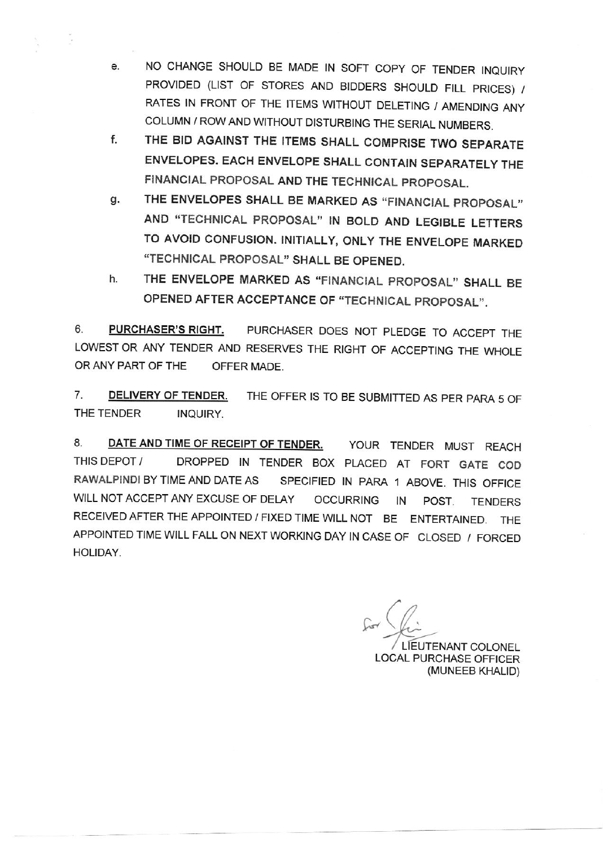- NO CHANGE SHOULD BE MADE IN SOFT COPY OF TENDER INQUIRY e. PROVIDED (LIST OF STORES AND BIDDERS SHOULD FILL PRICES) / RATES IN FRONT OF THE ITEMS WITHOUT DELETING / AMENDING ANY COLUMN / ROW AND WITHOUT DISTURBING THE SERIAL NUMBERS.
- THE BID AGAINST THE ITEMS SHALL COMPRISE TWO SEPARATE ENVELOPES. EACH ENVELOPE SHALL CONTAIN SEPARATELY THE FINANCIAL PROPOSAL AND THE TECHNICAL PROPOSAL.  $f<sub>r</sub>$
- THE ENVELOPES SHALL BE MARKED AS "FINANCIAL PROPOSAL" AND "TECHNICAL PROPOSAL" IN BOLD AND LEGIBLE LETTERS TO AVOID CONFUSION. INITIALLY, ONLY THE ENVELOPE MARXED "TECHNICAL PROPOSAL" SHALL BE OPENEDq.
- THE ENVELOPE MARKED AS "FINANCIAL PROPOSAL" SHALL BE OPENED AFTER ACCEPTANCE OF "TECHNICAL PROPOSAL". h

6. PURCHASER'S RIGHT. PURCHASER DOES NOT PLEDGE TO ACCEPT THE LOWEST OR ANY TENDER AND RESERVES THE RIGHT OF ACCEPTING THE WHOLE ORANY PART OF THE OFFER MADE.

7. DELIVERY OF TENDER. THE OFFER IS TO BE SUBMITTED AS PER PARA 5 OF THE TENDER INQUIRY.

8. DATE AND TIME OF RECEIPT OF TENDER. YOUR TENDER MUST REACH THISDEPOT/ DROPPED IN TENDER BOX PLACED AT FORT GATE COO RAWALPINDI BY TIME AND DATE AS SPECIFIED IN PARA 1 ABOVE. THIS OFFICE WILL NOT ACCEPT ANY EXCUSE OF DELAY OCCURRING IN POST. TENDERS RECEIVED AFTER THE APPOINTED / FIXED TIME WLL NOT BE ENTERTAINED, THE APPOINTED TIME WILL FALL ON NEXT WORKING DAY IN CASE OF CLOSED / FORCED HOLIDAY.

 $\sqrt{2}$ IEUTENANT COLONEL LOCAL PURCHASE OFFICER (MUNEEB KHALID)